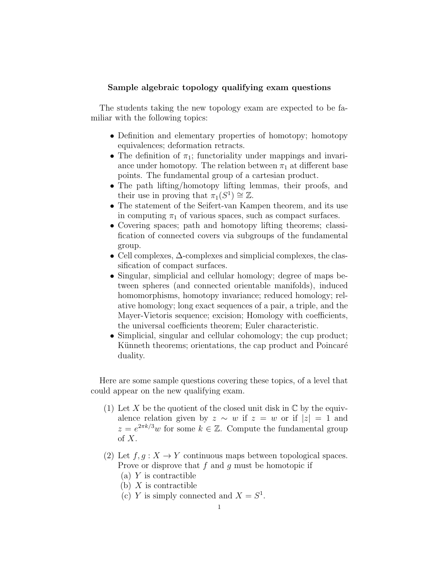## Sample algebraic topology qualifying exam questions

The students taking the new topology exam are expected to be familiar with the following topics:

- Definition and elementary properties of homotopy; homotopy equivalences; deformation retracts.
- The definition of  $\pi_1$ ; functoriality under mappings and invariance under homotopy. The relation between  $\pi_1$  at different base points. The fundamental group of a cartesian product.
- The path lifting/homotopy lifting lemmas, their proofs, and their use in proving that  $\pi_1(S^1) \cong \mathbb{Z}$ .
- The statement of the Seifert-van Kampen theorem, and its use in computing  $\pi_1$  of various spaces, such as compact surfaces.
- Covering spaces; path and homotopy lifting theorems; classification of connected covers via subgroups of the fundamental group.
- Cell complexes, ∆-complexes and simplicial complexes, the classification of compact surfaces.
- Singular, simplicial and cellular homology; degree of maps between spheres (and connected orientable manifolds), induced homomorphisms, homotopy invariance; reduced homology; relative homology; long exact sequences of a pair, a triple, and the Mayer-Vietoris sequence; excision; Homology with coefficients, the universal coefficients theorem; Euler characteristic.
- Simplicial, singular and cellular cohomology; the cup product; Künneth theorems; orientations, the cap product and Poincaré duality.

Here are some sample questions covering these topics, of a level that could appear on the new qualifying exam.

- (1) Let X be the quotient of the closed unit disk in  $\mathbb C$  by the equivalence relation given by  $z \sim w$  if  $z = w$  or if  $|z| = 1$  and  $z = e^{2\pi k/3}w$  for some  $k \in \mathbb{Z}$ . Compute the fundamental group of  $X$ .
- (2) Let  $f, g: X \to Y$  continuous maps between topological spaces. Prove or disprove that  $f$  and  $g$  must be homotopic if
	- $(a)$  Y is contractible
	- $(b)$  X is contractible
	- (c) Y is simply connected and  $X = S^1$ .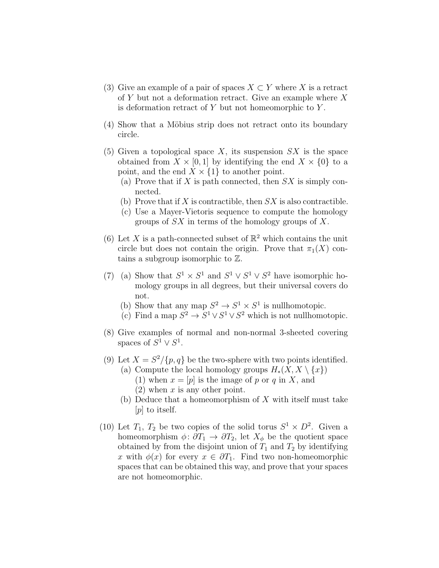- (3) Give an example of a pair of spaces  $X \subset Y$  where X is a retract of Y but not a deformation retract. Give an example where X is deformation retract of  $Y$  but not homeomorphic to  $Y$ .
- (4) Show that a Möbius strip does not retract onto its boundary circle.
- (5) Given a topological space X, its suspension  $SX$  is the space obtained from  $X \times [0, 1]$  by identifying the end  $X \times \{0\}$  to a point, and the end  $X \times \{1\}$  to another point.
	- (a) Prove that if X is path connected, then  $SX$  is simply connected.
	- (b) Prove that if X is contractible, then  $SX$  is also contractible.
	- (c) Use a Mayer-Vietoris sequence to compute the homology groups of  $SX$  in terms of the homology groups of X.
- (6) Let X is a path-connected subset of  $\mathbb{R}^2$  which contains the unit circle but does not contain the origin. Prove that  $\pi_1(X)$  contains a subgroup isomorphic to Z.
- (7) (a) Show that  $S^1 \times S^1$  and  $S^1 \vee S^1 \vee S^2$  have isomorphic homology groups in all degrees, but their universal covers do not.
	- (b) Show that any map  $S^2 \to S^1 \times S^1$  is nullhomotopic.
	- (c) Find a map  $S^2 \to S^1 \vee S^1 \vee S^2$  which is not nullhomotopic.
- (8) Give examples of normal and non-normal 3-sheeted covering spaces of  $S^1 \vee S^1$ .
- (9) Let  $X = S^2 / \{p, q\}$  be the two-sphere with two points identified.
	- (a) Compute the local homology groups  $H_*(X, X \setminus \{x\})$ (1) when  $x = [p]$  is the image of p or q in X, and  $(2)$  when x is any other point.
	- (b) Deduce that a homeomorphism of  $X$  with itself must take [p] to itself.
- (10) Let  $T_1$ ,  $T_2$  be two copies of the solid torus  $S^1 \times D^2$ . Given a homeomorphism  $\phi: \partial T_1 \to \partial T_2$ , let  $X_{\phi}$  be the quotient space obtained by from the disjoint union of  $T_1$  and  $T_2$  by identifying x with  $\phi(x)$  for every  $x \in \partial T_1$ . Find two non-homeomorphic spaces that can be obtained this way, and prove that your spaces are not homeomorphic.